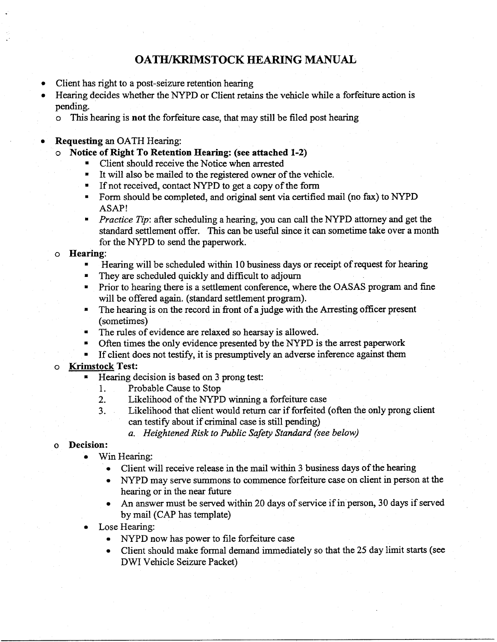# OATH/KRIMSTOCK **HEARING MANUAL**

- Client has right to a post-seizure retention hearing
- Hearing decides whether the NYPD **or** Client retains the vehicle while a forfeiture action is pending.
	- o This hearing is not the forfeiture case, that may still be filed post hearing

## **Requesting** an OATH Hearing:

- o **Notice of** Right To Retention Hearing: (see attached 1-2)
	- Client should receive the Notice when arrested
	- It will also be mailed to the registered owner of the vehicle.
	- If not received, contact NYPD to get a copy of the form
	- Form should be completed, and original sent via certified mail (no fax) to NYPD ASAP!
	- *Practice Tip:* after scheduling a hearing, you can call the NYPD attorney and get the standard settlement offer. This can be useful since it can sometime take over a month for the NYPD to send the paperwork.

#### o **Hearing:**

- **•** Hearing will be scheduled within 10 business days or receipt of request for heating
- They are scheduled quickly and difficult to adjourn
- Prior to hearing there is a settlement conference, where the OASAS program and fine will be offered again. (standard settlement program).
- The hearing is on the record in front of a judge with the *Arresting* officer present (sometimes)
- The rules of evidence are relaxed so hearsay is allowed.
- Often times the only evidence presented by the NYPD is the arrest paperwork
- If client does not testify, it is presumptively an adverse inference against them

## o Krimstock Test:

- Hearing decision is based on 3 prong test:
	- 1. Probable Cause to Stop
	- 2. Likelihood of the NYPD winning a forfeiture case
	- 3. Likelihood that client would return car if forfeited (often the only prong client can testify about if criminal case is still pending)
		- *a. Heightened Risk to Public Safety Standard (see below)*

## <sup>0</sup> **Decision:**

- Win Hearing:
	- Client will receive release in the **mail** within 3 business days of the hearing
	- NYPD may serve summons to commence forfeiture case on client in person at the hearing or in the near future
	- An answer must be served within 20 days of service if in person, 30 days if served by mail (CAP has template)
- Lose Hearing:
	- NYPD now has power to file forfeiture case
	- Client should make formal demand immediately so that the 25 day limit starts (see DWI Vehicle Seizure Packet)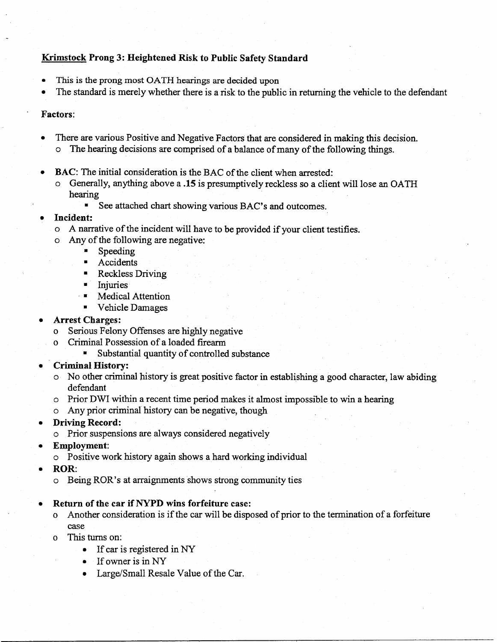## **Krimstock Prong** 3: **Heightened Risk to Public Safety Standard**

- **•** This is the prong most OATH hearings are decided upon
- The standard is merely whether there is a risk to the public in returning the vehicle to the defendant

#### Factors:

- There are various Positive and Negative Factors that are considered in making this decision. *o* The hearing decisions are comprised of a balance of many of the following things.
- **BAC:** The initial consideration is the BAC of the client when arrested:
	- o Generally, anything above a .15 is presumptively reckless so a client will lose an OATH hearing
		- See attached chart showing various BAC's and outcomes.

## • Incident:

- o A **narrative** of the incident will have **to** be provided if your client **testifies.**
- o Any of the following are negative:
	- Speeding
	- **Accidents**
	- Reckless Driving
	- Injuries
	- **- •** Medical Attention
	- Vehicle Damages
- *Arrest* **Charges:**
	- o Serious Felony Offenses are highly negative
	- o Criminal Possession of a loaded firearm
		- Substantial quantity of controlled substance
- Criminal **History:**
	- o No other criminal history is great positive factor in establishing a good character, law abiding defendant
	- o Prior DWI within a **recent time** period makes it almost impossible **to** win a hearing
	- o Any prior criminal history can be negative, though
- Driving Record:
	- o Prior **suspensions** are always considered negatively
- Employment:
	- o Positive work history again **shows** a hard working individual
- ROR:
	- o Being ROR's at arraignments **shows** strong community **ties**
- Return **of** the **car if** NYPD **wins** forfeiture **case:**
	- o Another consideration is if the car will be disposed of prior to the termination of a forfeiture case
	- o This turns on:
		- If car is registered in NY
		- If owner is in NY
		- Large/Small Resale Value of the Car.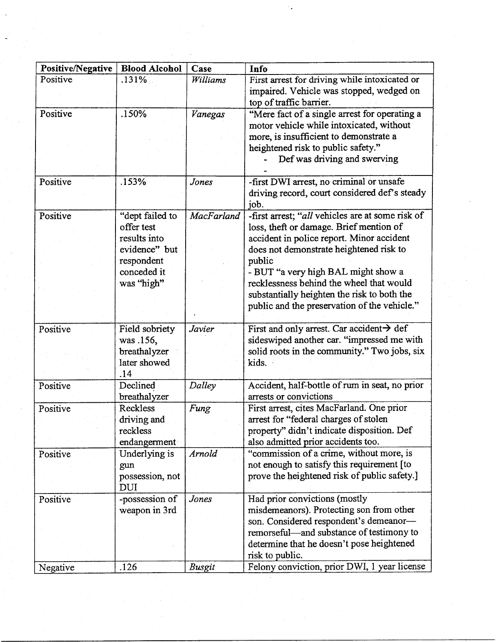| Positive/Negative | <b>Blood Alcohol</b> | Case       | Info                                                  |
|-------------------|----------------------|------------|-------------------------------------------------------|
| Positive          | .131%                | Williams   | First arrest for driving while intoxicated or         |
|                   |                      |            | impaired. Vehicle was stopped, wedged on              |
|                   |                      |            | top of traffic barrier.                               |
| Positive          | .150%                | Vanegas    | "Mere fact of a single arrest for operating a         |
|                   |                      |            | motor vehicle while intoxicated, without              |
|                   |                      |            | more, is insufficient to demonstrate a                |
|                   |                      |            | heightened risk to public safety."                    |
|                   |                      |            | Def was driving and swerving                          |
|                   |                      |            |                                                       |
| Positive          | .153%                | Jones      | -first DWI arrest, no criminal or unsafe              |
|                   |                      |            | driving record, court considered def's steady         |
|                   |                      |            | job.                                                  |
| Positive          | "dept failed to      | MacFarland | -first arrest; "all vehicles are at some risk of      |
|                   | offer test           |            | loss, theft or damage. Brief mention of               |
|                   | results into         |            | accident in police report. Minor accident             |
|                   | evidence" but        |            | does not demonstrate heightened risk to               |
|                   | respondent           |            | public                                                |
|                   | conceded it          |            | - BUT "a very high BAL might show a                   |
|                   | was "high"           |            | recklessness behind the wheel that would              |
|                   |                      |            | substantially heighten the risk to both the           |
|                   |                      |            | public and the preservation of the vehicle."          |
|                   |                      |            |                                                       |
| Positive          | Field sobriety       | Javier     | First and only arrest. Car accident $\rightarrow$ def |
|                   | was .156,            |            | sideswiped another car. "impressed me with            |
|                   | breathalyzer         |            | solid roots in the community." Two jobs, six          |
|                   | later showed         |            | kids.                                                 |
|                   | .14                  |            |                                                       |
| Positive          | Declined             | Dalley     | Accident, half-bottle of rum in seat, no prior        |
|                   | breathalyzer         |            | arrests or convictions                                |
| Positive          | Reckless             | Fung       | First arrest, cites MacFarland. One prior             |
|                   | driving and          |            | arrest for "federal charges of stolen                 |
|                   | reckless             |            | property" didn't indicate disposition. Def            |
|                   | endangerment         |            | also admitted prior accidents too.                    |
| Positive          | Underlying is        | Arnold     | "commission of a crime, without more, is              |
|                   | gun                  |            | not enough to satisfy this requirement [to            |
|                   | possession, not      |            | prove the heightened risk of public safety.]          |
|                   | <b>DUI</b>           |            |                                                       |
| Positive          | -possession of       | Jones      | Had prior convictions (mostly                         |
|                   | weapon in 3rd        |            | misdemeanors). Protecting son from other              |
|                   |                      |            | son. Considered respondent's demeanor-                |
|                   |                      |            | remorseful—and substance of testimony to              |
|                   |                      |            | determine that he doesn't pose heightened             |
|                   |                      |            | risk to public.                                       |
| Negative          | .126                 | Busgit     | Felony conviction, prior DWI, 1 year license          |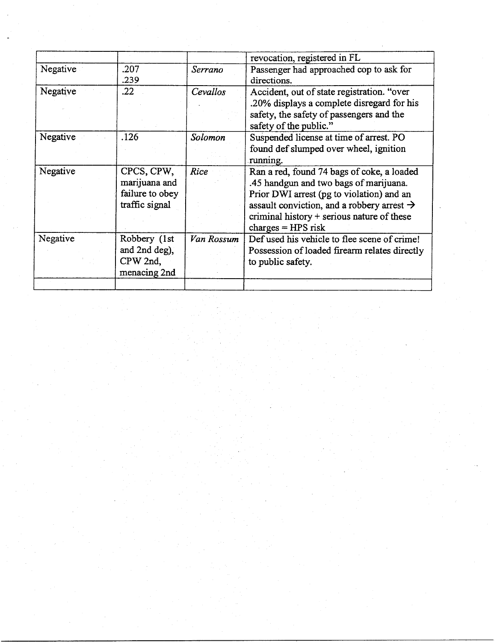|          |                 |            | revocation, registered in FL                           |
|----------|-----------------|------------|--------------------------------------------------------|
| Negative | .207            | Serrano    | Passenger had approached cop to ask for                |
|          | .239            |            | directions.                                            |
| Negative | .22             | Cevallos   | Accident, out of state registration. "over             |
|          |                 |            | .20% displays a complete disregard for his             |
|          |                 |            | safety, the safety of passengers and the               |
|          |                 |            | safety of the public."                                 |
| Negative | .126            | Solomon    | Suspended license at time of arrest. PO                |
|          |                 |            | found def slumped over wheel, ignition                 |
|          |                 |            | running.                                               |
| Negative | CPCS, CPW,      | Rice       | Ran a red, found 74 bags of coke, a loaded             |
|          | marijuana and   |            | .45 handgun and two bags of marijuana.                 |
|          | failure to obey |            | Prior DWI arrest (pg to violation) and an              |
|          | traffic signal  |            | assault conviction, and a robbery arrest $\rightarrow$ |
|          |                 |            | criminal history + serious nature of these             |
|          |                 |            | charges $=$ HPS risk                                   |
| Negative | Robbery (1st    | Van Rossum | Def used his vehicle to flee scene of crime!           |
|          | and 2nd deg),   |            | Possession of loaded firearm relates directly          |
|          | CPW 2nd,        |            | to public safety.                                      |
|          | menacing 2nd    |            |                                                        |
|          |                 |            |                                                        |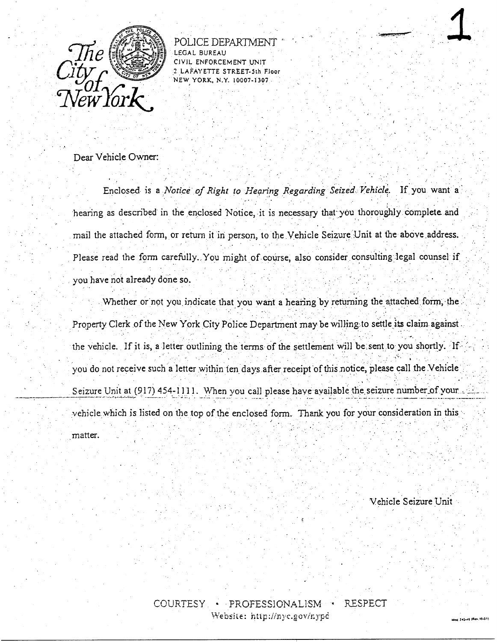

POLICE DEPARTMEN **LEGAL BUREAU** RCEMENT UNIT 2 LAFAYETTE STREET-5th Floor NEW YORK, N.Y. 10007-1307

Dear Vehicle Owner:

Enclosed is a Notice of Right to Hearing Regarding Seized Vehicle. If you want a hearing as described in the enclosed Notice, it is necessary that you thoroughly complete and mail the attached form, or return it in person, to the Vehicle Seizure Unit at the above address. Please read the form carefully. You might of course, also consider consulting legal counsel if you have not already done so.

Whether or not you indicate that you want a hearing by returning the attached form, the Property Clerk of the New York City Police Department may be willing to settle its claim against the vehicle. If it is, a letter outlining the terms of the settlement will be sent to you shortly. If you do not receive such a letter within ten days after receipt of this notice, please call the Vehicle Seizure Unit at (917) 454-1111. When you call please have available the seizure number of your. vehicle which is listed on the top of the enclosed form. Thank you for your consideration in this matter.

Vehicle Seizure Unit

inse 245-46 (fier, 1

COURTESY RESPECT · PROFESSIONALISM Website: http://nyc.gov/nypd